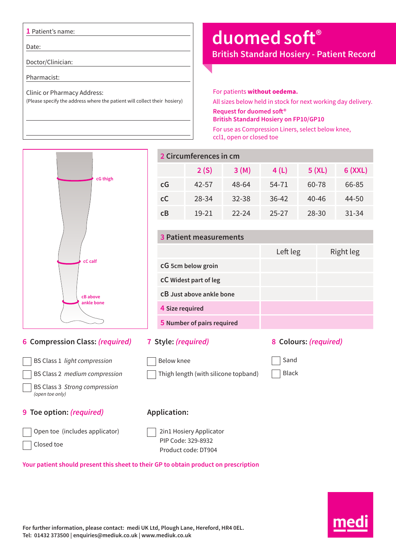#### **1** Patient's name:

Date:

Doctor/Clinician:

Pharmacist:

Clinic or Pharmacy Address:

(Please specify the address where the patient will collect their hosiery)

# **duomed soft®**

**British Standard Hosiery - Patient Record**

For patients **without oedema.** All sizes below held in stock for next working day delivery. **Request for duomed soft® British Standard Hosiery on FP10/GP10** For use as Compression Liners, select below knee, ccl1, open or closed toe



### **8 Colours:** *(required)*

Left leg Right leg

Thigh length (with silicone topband)

 Sand Black

### **9 Toe option:** *(required)*

*(open toe only)*

Closed toe

BS Class 3 *Strong compression* 

Open toe (includes applicator)

## **Application:**

 2in1 Hosiery Applicator PIP Code: 329-8932 Product code: DT904

**Your patient should present this sheet to their GP to obtain product on prescription**